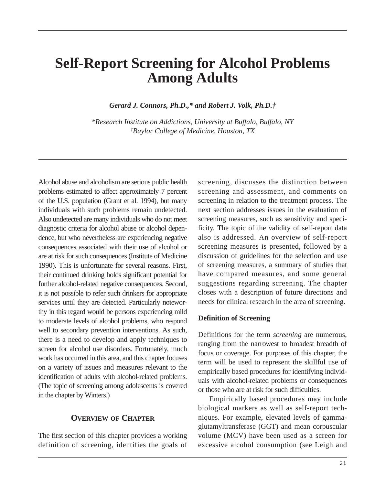# **Self-Report Screening for Alcohol Problems Among Adults**

*Gerard J. Connors, Ph.D.,\* and Robert J. Volk, Ph.D.†* 

*\*Research Institute on Addictions, University at Buffalo, Buffalo, NY † Baylor College of Medicine, Houston, TX* 

Alcohol abuse and alcoholism are serious public health problems estimated to affect approximately 7 percent of the U.S. population (Grant et al. 1994), but many individuals with such problems remain undetected. Also undetected are many individuals who do not meet diagnostic criteria for alcohol abuse or alcohol dependence, but who nevertheless are experiencing negative consequences associated with their use of alcohol or are at risk for such consequences (Institute of Medicine 1990). This is unfortunate for several reasons. First, their continued drinking holds significant potential for further alcohol-related negative consequences. Second, it is not possible to refer such drinkers for appropriate services until they are detected. Particularly noteworthy in this regard would be persons experiencing mild to moderate levels of alcohol problems, who respond well to secondary prevention interventions. As such, there is a need to develop and apply techniques to screen for alcohol use disorders. Fortunately, much work has occurred in this area, and this chapter focuses on a variety of issues and measures relevant to the identification of adults with alcohol-related problems. (The topic of screening among adolescents is covered in the chapter by Winters.)

## **OVERVIEW OF CHAPTER**

The first section of this chapter provides a working definition of screening, identifies the goals of

screening, discusses the distinction between screening and assessment, and comments on screening in relation to the treatment process. The next section addresses issues in the evaluation of screening measures, such as sensitivity and specificity. The topic of the validity of self-report data also is addressed. An overview of self-report screening measures is presented, followed by a discussion of guidelines for the selection and use of screening measures, a summary of studies that have compared measures, and some general suggestions regarding screening. The chapter closes with a description of future directions and needs for clinical research in the area of screening.

#### **Definition of Screening**

Definitions for the term *screening* are numerous, ranging from the narrowest to broadest breadth of focus or coverage. For purposes of this chapter, the term will be used to represent the skillful use of empirically based procedures for identifying individuals with alcohol-related problems or consequences or those who are at risk for such difficulties.

Empirically based procedures may include biological markers as well as self-report techniques. For example, elevated levels of gammaglutamyltransferase (GGT) and mean corpuscular volume (MCV) have been used as a screen for excessive alcohol consumption (see Leigh and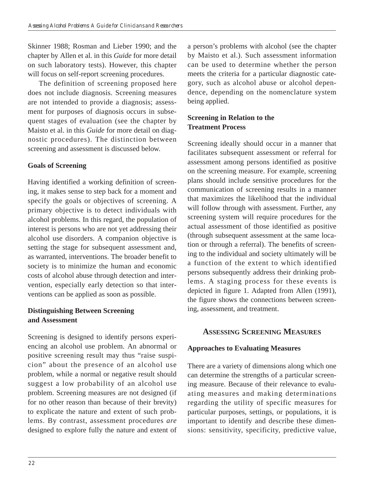Skinner 1988; Rosman and Lieber 1990; and the chapter by Allen et al. in this *Guide* for more detail on such laboratory tests). However, this chapter will focus on self-report screening procedures.

The definition of screening proposed here does not include diagnosis. Screening measures are not intended to provide a diagnosis; assessment for purposes of diagnosis occurs in subsequent stages of evaluation (see the chapter by Maisto et al. in this *Guide* for more detail on diagnostic procedures). The distinction between screening and assessment is discussed below.

## **Goals of Screening**

Having identified a working definition of screening, it makes sense to step back for a moment and specify the goals or objectives of screening. A primary objective is to detect individuals with alcohol problems. In this regard, the population of interest is persons who are not yet addressing their alcohol use disorders. A companion objective is setting the stage for subsequent assessment and, as warranted, interventions. The broader benefit to society is to minimize the human and economic costs of alcohol abuse through detection and intervention, especially early detection so that interventions can be applied as soon as possible.

## **Distinguishing Between Screening and Assessment**

Screening is designed to identify persons experiencing an alcohol use problem. An abnormal or positive screening result may thus "raise suspicion" about the presence of an alcohol use problem, while a normal or negative result should suggest a low probability of an alcohol use problem. Screening measures are not designed (if for no other reason than because of their brevity) to explicate the nature and extent of such problems. By contrast, assessment procedures *are*  designed to explore fully the nature and extent of a person's problems with alcohol (see the chapter by Maisto et al.). Such assessment information can be used to determine whether the person meets the criteria for a particular diagnostic category, such as alcohol abuse or alcohol dependence, depending on the nomenclature system being applied.

## **Screening in Relation to the Treatment Process**

Screening ideally should occur in a manner that facilitates subsequent assessment or referral for assessment among persons identified as positive on the screening measure. For example, screening plans should include sensitive procedures for the communication of screening results in a manner that maximizes the likelihood that the individual will follow through with assessment. Further, any screening system will require procedures for the actual assessment of those identified as positive (through subsequent assessment at the same location or through a referral). The benefits of screening to the individual and society ultimately will be a function of the extent to which identified persons subsequently address their drinking problems. A staging process for these events is depicted in figure 1. Adapted from Allen (1991), the figure shows the connections between screening, assessment, and treatment.

## **ASSESSING SCREENING MEASURES**

## **Approaches to Evaluating Measures**

There are a variety of dimensions along which one can determine the strengths of a particular screening measure. Because of their relevance to evaluating measures and making determinations regarding the utility of specific measures for particular purposes, settings, or populations, it is important to identify and describe these dimensions: sensitivity, specificity, predictive value,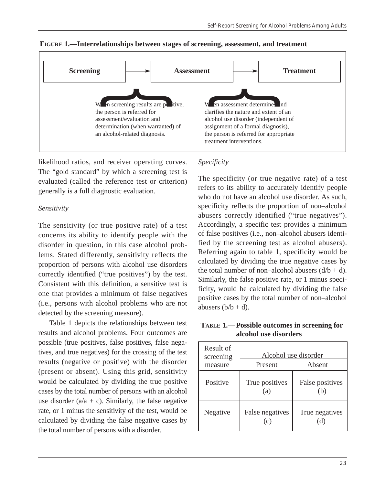

**FIGURE 1.—Interrelationships between stages of screening, assessment, and treatment** 

likelihood ratios, and receiver operating curves. The "gold standard" by which a screening test is evaluated (called the reference test or criterion) generally is a full diagnostic evaluation.

#### *Sensitivity*

The sensitivity (or true positive rate) of a test concerns its ability to identify people with the disorder in question, in this case alcohol problems. Stated differently, sensitivity reflects the proportion of persons with alcohol use disorders correctly identified ("true positives") by the test. Consistent with this definition, a sensitive test is one that provides a minimum of false negatives (i.e., persons with alcohol problems who are not detected by the screening measure).

Table 1 depicts the relationships between test results and alcohol problems. Four outcomes are possible (true positives, false positives, false negatives, and true negatives) for the crossing of the test results (negative or positive) with the disorder (present or absent). Using this grid, sensitivity would be calculated by dividing the true positive cases by the total number of persons with an alcohol use disorder  $(a/a + c)$ . Similarly, the false negative rate, or 1 minus the sensitivity of the test, would be calculated by dividing the false negative cases by the total number of persons with a disorder.

## *Specificity*

The specificity (or true negative rate) of a test refers to its ability to accurately identify people who do not have an alcohol use disorder. As such, specificity reflects the proportion of non–alcohol abusers correctly identified ("true negatives"). Accordingly, a specific test provides a minimum of false positives (i.e., non–alcohol abusers identified by the screening test as alcohol abusers). Referring again to table 1, specificity would be calculated by dividing the true negative cases by the total number of non–alcohol abusers  $(d/b + d)$ . Similarly, the false positive rate, or 1 minus specificity, would be calculated by dividing the false positive cases by the total number of non–alcohol abusers  $(b/b + d)$ .

**TABLE 1.— Possible outcomes in screening for alcohol use disorders** 

| Result of<br>screening<br>measure | Present                | Alcohol use disorder<br>Absent |
|-----------------------------------|------------------------|--------------------------------|
| Positive                          | True positives<br>(a)  | False positives<br>(b)         |
| Negative                          | False negatives<br>(c) | True negatives                 |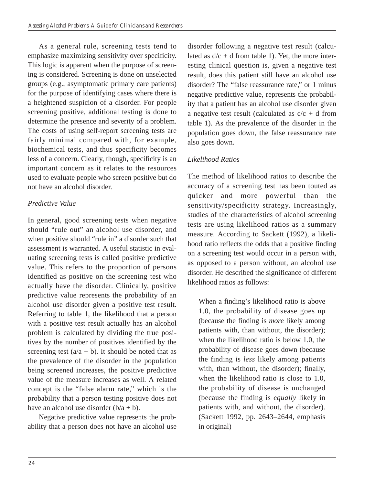As a general rule, screening tests tend to emphasize maximizing sensitivity over specificity. This logic is apparent when the purpose of screening is considered. Screening is done on unselected groups (e.g., asymptomatic primary care patients) for the purpose of identifying cases where there is a heightened suspicion of a disorder. For people screening positive, additional testing is done to determine the presence and severity of a problem. The costs of using self-report screening tests are fairly minimal compared with, for example, biochemical tests, and thus specificity becomes less of a concern. Clearly, though, specificity is an important concern as it relates to the resources used to evaluate people who screen positive but do not have an alcohol disorder.

## *Predictive Value*

In general, good screening tests when negative should "rule out" an alcohol use disorder, and when positive should "rule in" a disorder such that assessment is warranted. A useful statistic in evaluating screening tests is called positive predictive value. This refers to the proportion of persons identified as positive on the screening test who actually have the disorder. Clinically, positive predictive value represents the probability of an alcohol use disorder given a positive test result. Referring to table 1, the likelihood that a person with a positive test result actually has an alcohol problem is calculated by dividing the true positives by the number of positives identified by the screening test  $(a/a + b)$ . It should be noted that as the prevalence of the disorder in the population being screened increases, the positive predictive value of the measure increases as well. A related concept is the "false alarm rate," which is the probability that a person testing positive does not have an alcohol use disorder  $(b/a + b)$ .

Negative predictive value represents the probability that a person does not have an alcohol use disorder following a negative test result (calculated as  $d/c + d$  from table 1). Yet, the more interesting clinical question is, given a negative test result, does this patient still have an alcohol use disorder? The "false reassurance rate," or 1 minus negative predictive value, represents the probability that a patient has an alcohol use disorder given a negative test result (calculated as  $c/c + d$  from table 1). As the prevalence of the disorder in the population goes down, the false reassurance rate also goes down.

## *Likelihood Ratios*

The method of likelihood ratios to describe the accuracy of a screening test has been touted as quicker and more powerful than the sensitivity/specificity strategy. Increasingly, studies of the characteristics of alcohol screening tests are using likelihood ratios as a summary measure. According to Sackett (1992), a likelihood ratio reflects the odds that a positive finding on a screening test would occur in a person with, as opposed to a person without, an alcohol use disorder. He described the significance of different likelihood ratios as follows:

When a finding's likelihood ratio is above 1.0, the probability of disease goes up (because the finding is *more* likely among patients with, than without, the disorder); when the likelihood ratio is below 1.0, the probability of disease goes down (because the finding is *less* likely among patients with, than without, the disorder); finally, when the likelihood ratio is close to 1.0, the probability of disease is unchanged (because the finding is *equally* likely in patients with, and without, the disorder). (Sackett 1992, pp. 2643–2644, emphasis in original)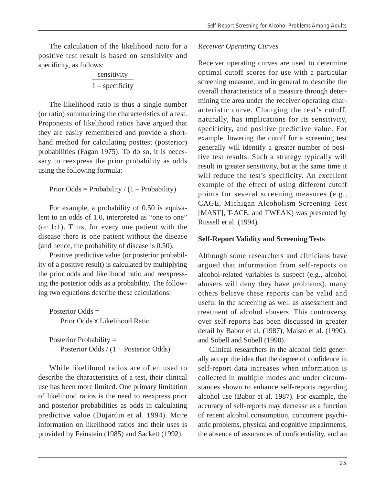The calculation of the likelihood ratio for a positive test result is based on sensitivity and specificity, as follows:

# sensitivity  $\frac{1 - \text{specificity}}{1 - \text{specificity}}$

The likelihood ratio is thus a single number (or ratio) summarizing the characteristics of a test. Proponents of likelihood ratios have argued that they are easily remembered and provide a shorthand method for calculating posttest (posterior) probabilities (Fagan 1975). To do so, it is necessary to reexpress the prior probability as odds using the following formula:

```
Prior Odds = Probability / (1 - Probability)
```
For example, a probability of 0.50 is equivalent to an odds of 1.0, interpreted as "one to one" (or 1:1). Thus, for every one patient with the disease there is one patient without the disease (and hence, the probability of disease is 0.50).

Positive predictive value (or posterior probability of a positive result) is calculated by multiplying the prior odds and likelihood ratio and reexpressing the posterior odds as a probability. The following two equations describe these calculations:

Posterior Odds = Prior Odds x Likelihood Ratio

Posterior Probability = Posterior Odds / (1 + Posterior Odds)

While likelihood ratios are often used to describe the characteristics of a test, their clinical use has been more limited. One primary limitation of likelihood ratios is the need to reexpress prior and posterior probabilities as odds in calculating predictive value (Dujardin et al. 1994). More information on likelihood ratios and their uses is provided by Feinstein (1985) and Sackett (1992).

# *Receiver Operating Curves*

Receiver operating curves are used to determine optimal cutoff scores for use with a particular screening measure, and in general to describe the overall characteristics of a measure through determining the area under the receiver operating characteristic curve. Changing the test's cutoff, naturally, has implications for its sensitivity, specificity, and positive predictive value. For example, lowering the cutoff for a screening test generally will identify a greater number of positive test results. Such a strategy typically will result in greater sensitivity, but at the same time it will reduce the test's specificity. An excellent example of the effect of using different cutoff points for several screening measures (e.g., CAGE, Michigan Alcoholism Screening Test [MAST], T-ACE, and TWEAK) was presented by Russell et al. (1994).

# **Self-Report Validity and Screening Tests**

Although some researchers and clinicians have argued that information from self-reports on alcohol-related variables is suspect (e.g., alcohol abusers will deny they have problems), many others believe these reports can be valid and useful in the screening as well as assessment and treatment of alcohol abusers. This controversy over self-reports has been discussed in greater detail by Babor et al. (1987), Maisto et al. (1990), and Sobell and Sobell (1990).

Clinical researchers in the alcohol field generally accept the idea that the degree of confidence in self-report data increases when information is collected in multiple modes and under circumstances shown to enhance self-reports regarding alcohol use (Babor et al. 1987). For example, the accuracy of self-reports may decrease as a function of recent alcohol consumption, concurrent psychiatric problems, physical and cognitive impairments, the absence of assurances of confidentiality, and an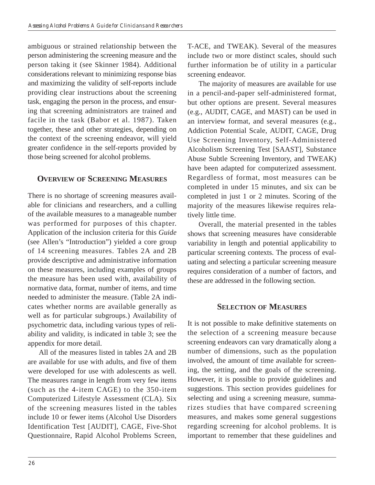ambiguous or strained relationship between the person administering the screening measure and the person taking it (see Skinner 1984). Additional considerations relevant to minimizing response bias and maximizing the validity of self-reports include providing clear instructions about the screening task, engaging the person in the process, and ensuring that screening administrators are trained and facile in the task (Babor et al. 1987). Taken together, these and other strategies, depending on the context of the screening endeavor, will yield greater confidence in the self-reports provided by those being screened for alcohol problems.

# **OVERVIEW OF SCREENING MEASURES**

There is no shortage of screening measures available for clinicians and researchers, and a culling of the available measures to a manageable number was performed for purposes of this chapter. Application of the inclusion criteria for this *Guide*  (see Allen's "Introduction") yielded a core group of 14 screening measures. Tables 2A and 2B provide descriptive and administrative information on these measures, including examples of groups the measure has been used with, availability of normative data, format, number of items, and time needed to administer the measure. (Table 2A indicates whether norms are available generally as well as for particular subgroups.) Availability of psychometric data, including various types of reliability and validity, is indicated in table 3; see the appendix for more detail.

All of the measures listed in tables 2A and 2B are available for use with adults, and five of them were developed for use with adolescents as well. The measures range in length from very few items (such as the 4-item CAGE) to the 350-item Computerized Lifestyle Assessment (CLA). Six of the screening measures listed in the tables include 10 or fewer items (Alcohol Use Disorders Identification Test [AUDIT], CAGE, Five-Shot Questionnaire, Rapid Alcohol Problems Screen, T-ACE, and TWEAK). Several of the measures include two or more distinct scales, should such further information be of utility in a particular screening endeavor.

The majority of measures are available for use in a pencil-and-paper self-administered format, but other options are present. Several measures (e.g., AUDIT, CAGE, and MAST) can be used in an interview format, and several measures (e.g., Addiction Potential Scale, AUDIT, CAGE, Drug Use Screening Inventory, Self-Administered Alcoholism Screening Test [SAAST], Substance Abuse Subtle Screening Inventory, and TWEAK) have been adapted for computerized assessment. Regardless of format, most measures can be completed in under 15 minutes, and six can be completed in just 1 or 2 minutes. Scoring of the majority of the measures likewise requires relatively little time.

Overall, the material presented in the tables shows that screening measures have considerable variability in length and potential applicability to particular screening contexts. The process of evaluating and selecting a particular screening measure requires consideration of a number of factors, and these are addressed in the following section.

## **SELECTION OF MEASURES**

It is not possible to make definitive statements on the selection of a screening measure because screening endeavors can vary dramatically along a number of dimensions, such as the population involved, the amount of time available for screening, the setting, and the goals of the screening. However, it is possible to provide guidelines and suggestions. This section provides guidelines for selecting and using a screening measure, summarizes studies that have compared screening measures, and makes some general suggestions regarding screening for alcohol problems. It is important to remember that these guidelines and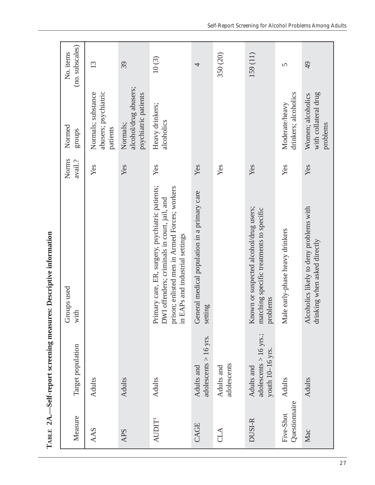TABLE 2A.-Self-report screening measures: Descriptive information **TABLE 2A.—Self-report screening measures: Descriptive information** 

| Measure                    | Target population                                       | Groups used<br>with                                                                                                                                                                  | Norms<br>$\alpha$ avail.? | Normed<br>groups                                          | (no. subscales)<br>No. items |
|----------------------------|---------------------------------------------------------|--------------------------------------------------------------------------------------------------------------------------------------------------------------------------------------|---------------------------|-----------------------------------------------------------|------------------------------|
| AAS                        | <b>Adults</b>                                           |                                                                                                                                                                                      | Yes                       | abusers; psychiatric<br>Normals; substance<br>patients    | 13                           |
| APS                        | <b>Adults</b>                                           |                                                                                                                                                                                      | Yes                       | alcohol/drug abusers;<br>psychiatric patients<br>Normals; | 39                           |
| AUDIT <sup>1</sup>         | <b>Adults</b>                                           | Primary care, ER, surgery, psychiatric patients;<br>prison; enlisted men in Armed Forces; workers<br>DWI offenders; criminals in court, jail, and<br>in EAPs and industrial settings | Yes                       | Heavy drinkers;<br>alcoholics                             | 10(3)                        |
| CAGE                       | adolescents $> 16$ yrs.<br>Adults and                   | General medical population in a primary care<br>setting                                                                                                                              | Yes                       |                                                           | 4                            |
| <b>CLA</b>                 | adolescents<br>Adults and                               |                                                                                                                                                                                      | Yes                       |                                                           | 350 (20)                     |
| DUSI-R                     | adolescents > 16 yrs.;<br>youth 10-16 yrs<br>Adults and | Known or suspected alcohol/drug users;<br>matching specific treatments to specific<br>problems                                                                                       | Yes                       |                                                           | 159(11)                      |
| Questionnaire<br>Five-Shot | <b>Adults</b>                                           | le early-phase heavy drinkers<br>$\mathbf{M}\mathbf{a}$                                                                                                                              | Yes                       | drinkers; alcoholics<br>Moderate/heavy                    | $\overline{5}$               |
| Mac                        | <b>Adults</b>                                           | Alcoholics likely to deny problems with<br>drinking when asked directly                                                                                                              | Yes                       | with collateral drug<br>Women; alcoholics<br>problems     | 49                           |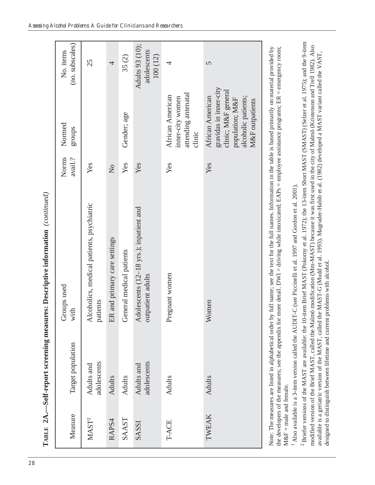| Measure                                     | Target population         | Groups used<br>with                                                                                                                                                                                                                                                                                                                                                          | Norms<br>avail.? | Normed<br>groups                                                                                                               | (no. subscales)<br>No. items              |
|---------------------------------------------|---------------------------|------------------------------------------------------------------------------------------------------------------------------------------------------------------------------------------------------------------------------------------------------------------------------------------------------------------------------------------------------------------------------|------------------|--------------------------------------------------------------------------------------------------------------------------------|-------------------------------------------|
| MAST <sup>2</sup>                           | adolescents<br>Adults and | Alcoholics, medical patients, psychiatric<br>patients                                                                                                                                                                                                                                                                                                                        | Yes              |                                                                                                                                | 25                                        |
| RAPS4                                       | <b>Adults</b>             | ER and primary care settings                                                                                                                                                                                                                                                                                                                                                 | $\overline{a}$   |                                                                                                                                | 4                                         |
| SAAST                                       | <b>Adults</b>             | General medical patients                                                                                                                                                                                                                                                                                                                                                     | Yes              | Gender; age                                                                                                                    | 35(2)                                     |
| SASSI                                       | adolescents<br>Adults and | Adolescents (12-18 yrs.); inpatient and<br>outpatient adults                                                                                                                                                                                                                                                                                                                 | Yes              |                                                                                                                                | Adults 93 (10);<br>adolescents<br>100(12) |
| T-ACE                                       | <b>Adults</b>             | Pregnant women                                                                                                                                                                                                                                                                                                                                                               | Yes              | attending antenatal<br>African American<br>inner-city women<br>clinic                                                          | 4                                         |
| TWEAK                                       | <b>Adults</b>             | Women                                                                                                                                                                                                                                                                                                                                                                        | Yes              | gravidas in inner-city<br>clinic; M&F general<br>African American<br>alcoholic patients;<br>population; M&F<br>M&F outpatients | $\overline{5}$                            |
| $M\&F = male$ and female.<br>$\overline{a}$ | <b>CENTS STRATEGIES</b>   | the developers of the measures; see the appendix for more detail. DWI = driving while intoxicated; EAPs = employee assistance programs; ER = emergency room;<br>Note: The measures are listed in alphabetical order by full name; see the text for the full names. Information in the table is based primarily on material provided by<br>アクセス・アクセス かんしゃ アクセス かいしゃ こうしゃ アクセス |                  |                                                                                                                                |                                           |

**TABLE 2A.—Self-report screening measures: Descriptive information** *(continued)*  TABLE 2A.-Self-report screening measures: Descriptive information (continued) 1 Also available is a 3-item version called the AUDIT-C (see Piccinelli et al. 1997 and Gordon et al. 2001). Also available is a 3-item version called the AUDIT-C (see Piccinelli et al. 1997 and Gordon et al. 2001).

2 Briefer versions of the MAST are available: the 10-item Brief MAST (Pokorny et al. 1972); the 13-item Short MAST (SMAST) (Selzer et al. 1975); and the 9-item <sup>2</sup> Briefer versions of the MAST are available: the 10-item Brief MAST (Pokorny et al. 1972); the 13-item Short MAST (SMAST) (Selzer et al. 1975); and the 9-item modified version of the Brief MAST, called the Malmö modification (Mm-MAST) because it was first used in the city of Malmö (Kristenson and Trell 1982). Also modified version of the Brief MAST, called the Malmö modification (Mm-MAST) because it was first used in the city of Malmö (Kristenson and Trell 1982). Also available is a geriatric version of the MAST, called the MAST-G (Mudd et al. 1993). Magruder-Habib et al. (1982) developed a MAST variant called the VAST, available is a geriatric version of the MAST, called the MAST-G (Mudd et al. 1993). Magruder-Habib et al. (1982) developed a MAST variant called the VAST, designed to distinguish between lifetime and current problems with alcohol. designed to distinguish between lifetime and current problems with alcohol.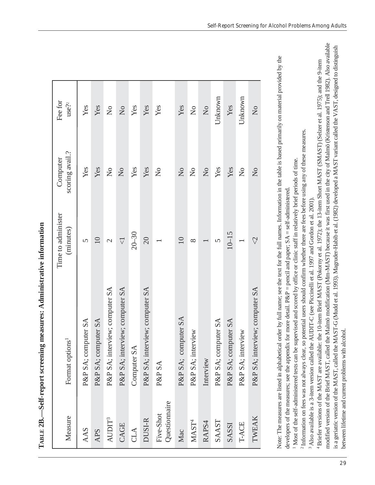| Measure                    | Format options <sup>1</sup>    | Time to administer<br>(minutes) | scoring avail.?<br>Computer    | Fee for<br>use?2               |
|----------------------------|--------------------------------|---------------------------------|--------------------------------|--------------------------------|
| AAS                        | P&P SA; computer SA            |                                 | Yes                            | Yes                            |
| <b>APS</b>                 | P&P SA; computer SA            | $\Box$                          | Yes                            | Yes                            |
| AUDIT <sup>3</sup>         | P&P SA; interview; computer SA | $\mathbf{C}$                    | $\mathop{\mathsf{S}}\nolimits$ | $\rm \stackrel{\circ}{Z}$      |
| CAGE                       | P&P SA; interview; computer SA | $\overline{\vee}$               | $\overline{a}$                 | $\overline{a}$                 |
| CLA                        | Computer SA                    | $20 - 30$                       | Yes                            | Yes                            |
| DUSI-R                     | P&P SA; interview; computer SA | 20                              | Yes                            | Yes                            |
| Questionnaire<br>Five-Shot | P&P SA                         |                                 | $\mathcal{L}^{\circ}$          | Yes                            |
| Mac                        | P&P SA; computer SA            | $\overline{10}$                 | $\Sigma$                       | Yes                            |
| MAST <sup>4</sup>          | P&P SA; interview              | $\infty$                        | $\mathsf{S}^{\mathsf{O}}$      | $\mathop{\mathsf{S}}\nolimits$ |
| RAPS4                      | Interview                      |                                 | $\overline{Z}$                 | $\overline{a}$                 |
| SAAST                      | P&P SA; computer SA            | S                               | Yes                            | Unknown                        |
| SASSI                      | P&P SA; computer SA            | $10 - 15$                       | Yes                            | Yes                            |
| T-ACE                      | P&P SA; interview              |                                 | $\mathsf{S}^{\mathsf{O}}$      | Unknown                        |
| TWEAK                      | P&P SA; interview; computer SA |                                 | $\Sigma$                       | $\overline{X}^{\circ}$         |
|                            |                                |                                 |                                |                                |

**TABLE 2B.—Self-report screening measures: Administrative information**  TABLE 2B.-Self-report screening measures: Administrative information

Note: The measures are listed in alphabetical order by full name; see the text for the full names. Information in the table is based primarily on material provided by the Note: The measures are listed in alphabetical order by full name; see the text for the full names. Information in the table is based primarily on material provided by the developers of the measures; see the appendix for more detail. P&P = pencil and paper;  $SA = \text{self-administered.}$ developers of the measures; see the appendix for more detail.  $P\&P =$  pencil and paper,  $SA = \text{self-administered}$ .

1 Most of the self-administered tests can be supervised and scored by office or clinic staff in relatively brief periods of time. Most of the self-administered tests can be supervised and scored by office or clinic staff in relatively brief periods of time.

Information on fees was not always clear, so potential users should confirm whether there are fees before using any of these measures.

2 Information on fees was not always clear, so potential users should confirm whether there are fees before using any of these measures.

3 Also available is a 3-item version called the AUDIT-C (see Piccinelli et al. 1997 and Gordon et al. 2001). <sup>3</sup> Also available is a 3-item version called the AUDIT-C (see Piccinelli et al. 1997 and Gordon et al. 2001).

4 Briefer versions of the MAST are available: the 10-item Brief MAST (Pokorny et al. 1972); the 13-item Short MAST (SMAST) (Selzer et al. 1975); and the 9-item <sup>1</sup>Briefer versions of the MAST are available: the 10-item Brief MAST (Pokorny et al. 1972); the 13-item Short MAST (SMAST) (Selzer et al. 1975); and the 9-item modified version of the Brief MAST, called the Malmö modification (Mm-MAST) because it was first used in the city of Malmö (Kristenson and Trell 1982). Also available modified version of the Brief MAST, called the Malmö modification (Mm-MAST) because it was first used in the city of Malmö (Kristenson and Trell 1982). Also available is a geriatric version of the MAST, called the MAST-G (Mudd et al. 1993). Magruder-Habib et al. (1982) developed a MAST variant called the VAST, designed to distinguish is a geriatric version of the MAST, called the MAST-G (Mudd et al. 1993). Magruder-Habib et al. (1982) developed a MAST variant called the VAST, designed to distinguish between lifetime and current problems with alcohol. between lifetime and current problems with alcohol.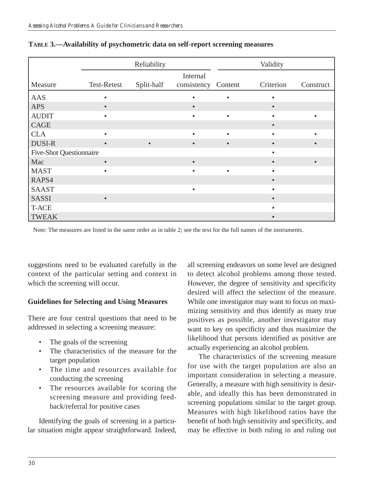|                                |             | Reliability |             |           | Validity  |           |
|--------------------------------|-------------|-------------|-------------|-----------|-----------|-----------|
|                                |             |             | Internal    |           |           |           |
| Measure                        | Test-Retest | Split-half  | consistency | Content   | Criterion | Construct |
| <b>AAS</b>                     | $\bullet$   |             | $\bullet$   | $\bullet$ |           |           |
| <b>APS</b>                     | $\bullet$   |             | $\bullet$   |           |           |           |
| <b>AUDIT</b>                   |             |             | $\bullet$   |           |           |           |
| CAGE                           |             |             |             |           |           |           |
| <b>CLA</b>                     |             |             | $\bullet$   |           |           |           |
| <b>DUSI-R</b>                  | $\bullet$   |             | $\bullet$   |           |           |           |
| <b>Five-Shot Questionnaire</b> |             |             |             |           |           |           |
| Mac                            | $\bullet$   |             | $\bullet$   |           |           |           |
| <b>MAST</b>                    |             |             | $\bullet$   |           |           |           |
| RAPS4                          |             |             |             |           |           |           |
| <b>SAAST</b>                   |             |             | $\bullet$   |           |           |           |
| <b>SASSI</b>                   | $\bullet$   |             |             |           |           |           |
| <b>T-ACE</b>                   |             |             |             |           |           |           |
| <b>TWEAK</b>                   |             |             |             |           |           |           |

| TABLE 3.-Availability of psychometric data on self-report screening measures |  |  |  |
|------------------------------------------------------------------------------|--|--|--|
|------------------------------------------------------------------------------|--|--|--|

Note: The measures are listed in the same order as in table 2; see the text for the full names of the instruments.

suggestions need to be evaluated carefully in the context of the particular setting and context in which the screening will occur.

## **Guidelines for Selecting and Using Measures**

There are four central questions that need to be addressed in selecting a screening measure:

- The goals of the screening
- The characteristics of the measure for the target population
- • The time and resources available for conducting the screening
- The resources available for scoring the screening measure and providing feedback/referral for positive cases

Identifying the goals of screening in a particular situation might appear straightforward. Indeed, all screening endeavors on some level are designed to detect alcohol problems among those tested. However, the degree of sensitivity and specificity desired will affect the selection of the measure. While one investigator may want to focus on maximizing sensitivity and thus identify as many true positives as possible, another investigator may want to key on specificity and thus maximize the likelihood that persons identified as positive are actually experiencing an alcohol problem.

The characteristics of the screening measure for use with the target population are also an important consideration in selecting a measure. Generally, a measure with high sensitivity is desirable, and ideally this has been demonstrated in screening populations similar to the target group. Measures with high likelihood ratios have the benefit of both high sensitivity and specificity, and may be effective in both ruling in and ruling out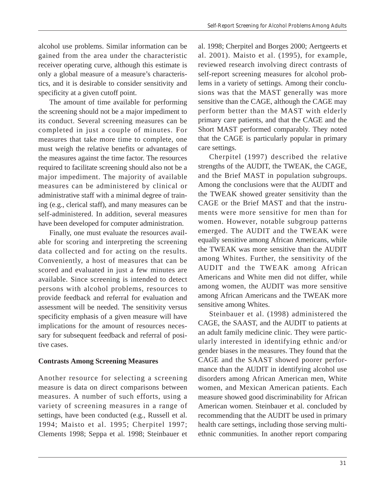alcohol use problems. Similar information can be gained from the area under the characteristic receiver operating curve, although this estimate is only a global measure of a measure's characteristics, and it is desirable to consider sensitivity and specificity at a given cutoff point.

The amount of time available for performing the screening should not be a major impediment to its conduct. Several screening measures can be completed in just a couple of minutes. For measures that take more time to complete, one must weigh the relative benefits or advantages of the measures against the time factor. The resources required to facilitate screening should also not be a major impediment. The majority of available measures can be administered by clinical or administrative staff with a minimal degree of training (e.g., clerical staff), and many measures can be self-administered. In addition, several measures have been developed for computer administration.

Finally, one must evaluate the resources available for scoring and interpreting the screening data collected and for acting on the results. Conveniently, a host of measures that can be scored and evaluated in just a few minutes are available. Since screening is intended to detect persons with alcohol problems, resources to provide feedback and referral for evaluation and assessment will be needed. The sensitivity versus specificity emphasis of a given measure will have implications for the amount of resources necessary for subsequent feedback and referral of positive cases.

## **Contrasts Among Screening Measures**

Another resource for selecting a screening measure is data on direct comparisons between measures. A number of such efforts, using a variety of screening measures in a range of settings, have been conducted (e.g., Russell et al. 1994; Maisto et al. 1995; Cherpitel 1997; Clements 1998; Seppa et al. 1998; Steinbauer et

al. 1998; Cherpitel and Borges 2000; Aertgeerts et al. 2001). Maisto et al. (1995), for example, reviewed research involving direct contrasts of self-report screening measures for alcohol problems in a variety of settings. Among their conclusions was that the MAST generally was more sensitive than the CAGE, although the CAGE may perform better than the MAST with elderly primary care patients, and that the CAGE and the Short MAST performed comparably. They noted that the CAGE is particularly popular in primary care settings.

Cherpitel (1997) described the relative strengths of the AUDIT, the TWEAK, the CAGE, and the Brief MAST in population subgroups. Among the conclusions were that the AUDIT and the TWEAK showed greater sensitivity than the CAGE or the Brief MAST and that the instruments were more sensitive for men than for women. However, notable subgroup patterns emerged. The AUDIT and the TWEAK were equally sensitive among African Americans, while the TWEAK was more sensitive than the AUDIT among Whites. Further, the sensitivity of the AUDIT and the TWEAK among African Americans and White men did not differ, while among women, the AUDIT was more sensitive among African Americans and the TWEAK more sensitive among Whites.

Steinbauer et al. (1998) administered the CAGE, the SAAST, and the AUDIT to patients at an adult family medicine clinic. They were particularly interested in identifying ethnic and/or gender biases in the measures. They found that the CAGE and the SAAST showed poorer performance than the AUDIT in identifying alcohol use disorders among African American men, White women, and Mexican American patients. Each measure showed good discriminability for African American women. Steinbauer et al. concluded by recommending that the AUDIT be used in primary health care settings, including those serving multiethnic communities. In another report comparing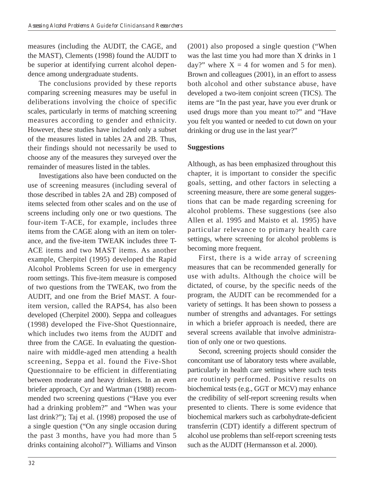measures (including the AUDIT, the CAGE, and the MAST), Clements (1998) found the AUDIT to be superior at identifying current alcohol dependence among undergraduate students.

The conclusions provided by these reports comparing screening measures may be useful in deliberations involving the choice of specific scales, particularly in terms of matching screening measures according to gender and ethnicity. However, these studies have included only a subset of the measures listed in tables 2A and 2B. Thus, their findings should not necessarily be used to choose any of the measures they surveyed over the remainder of measures listed in the tables.

Investigations also have been conducted on the use of screening measures (including several of those described in tables 2A and 2B) composed of items selected from other scales and on the use of screens including only one or two questions. The four-item T-ACE, for example, includes three items from the CAGE along with an item on tolerance, and the five-item TWEAK includes three T-ACE items and two MAST items. As another example, Cherpitel (1995) developed the Rapid Alcohol Problems Screen for use in emergency room settings. This five-item measure is composed of two questions from the TWEAK, two from the AUDIT, and one from the Brief MAST. A fouritem version, called the RAPS4, has also been developed (Cherpitel 2000). Seppa and colleagues (1998) developed the Five-Shot Questionnaire, which includes two items from the AUDIT and three from the CAGE. In evaluating the questionnaire with middle-aged men attending a health screening, Seppa et al. found the Five-Shot Questionnaire to be efficient in differentiating between moderate and heavy drinkers. In an even briefer approach, Cyr and Wartman (1988) recommended two screening questions ("Have you ever had a drinking problem?" and "When was your last drink?"); Taj et al. (1998) proposed the use of a single question ("On any single occasion during the past 3 months, have you had more than 5 drinks containing alcohol?"). Williams and Vinson (2001) also proposed a single question ("When was the last time you had more than X drinks in 1 day?" where  $X = 4$  for women and 5 for men). Brown and colleagues (2001), in an effort to assess both alcohol and other substance abuse, have developed a two-item conjoint screen (TICS). The items are "In the past year, have you ever drunk or used drugs more than you meant to?" and "Have you felt you wanted or needed to cut down on your drinking or drug use in the last year?"

## **Suggestions**

Although, as has been emphasized throughout this chapter, it is important to consider the specific goals, setting, and other factors in selecting a screening measure, there are some general suggestions that can be made regarding screening for alcohol problems. These suggestions (see also Allen et al. 1995 and Maisto et al. 1995) have particular relevance to primary health care settings, where screening for alcohol problems is becoming more frequent.

First, there is a wide array of screening measures that can be recommended generally for use with adults. Although the choice will be dictated, of course, by the specific needs of the program, the AUDIT can be recommended for a variety of settings. It has been shown to possess a number of strengths and advantages. For settings in which a briefer approach is needed, there are several screens available that involve administration of only one or two questions.

Second, screening projects should consider the concomitant use of laboratory tests where available, particularly in health care settings where such tests are routinely performed. Positive results on biochemical tests (e.g., GGT or MCV) may enhance the credibility of self-report screening results when presented to clients. There is some evidence that biochemical markers such as carbohydrate-deficient transferrin (CDT) identify a different spectrum of alcohol use problems than self-report screening tests such as the AUDIT (Hermansson et al. 2000).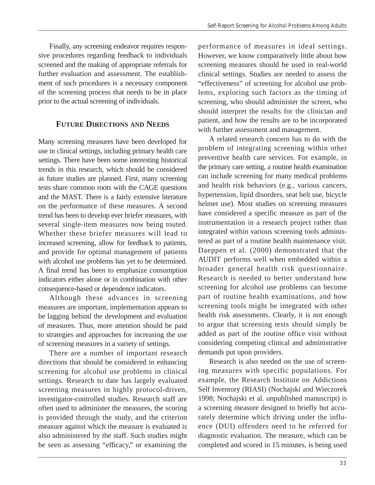Finally, any screening endeavor requires responsive procedures regarding feedback to individuals screened and the making of appropriate referrals for further evaluation and assessment. The establishment of such procedures is a necessary component of the screening process that needs to be in place prior to the actual screening of individuals.

## **FUTURE DIRECTIONS AND NEEDS**

Many screening measures have been developed for use in clinical settings, including primary health care settings. There have been some interesting historical trends in this research, which should be considered as future studies are planned. First, many screening tests share common roots with the CAGE questions and the MAST. There is a fairly extensive literature on the performance of these measures. A second trend has been to develop ever briefer measures, with several single-item measures now being touted. Whether these briefer measures will lead to increased screening, allow for feedback to patients, and provide for optimal management of patients with alcohol use problems has yet to be determined. A final trend has been to emphasize consumption indicators either alone or in combination with other consequence-based or dependence indicators.

Although these advances in screening measures are important, implementation appears to be lagging behind the development and evaluation of measures. Thus, more attention should be paid to strategies and approaches for increasing the use of screening measures in a variety of settings.

There are a number of important research directions that should be considered in enhancing screening for alcohol use problems in clinical settings. Research to date has largely evaluated screening measures in highly protocol-driven, investigator-controlled studies. Research staff are often used to administer the measures, the scoring is provided through the study, and the criterion measure against which the measure is evaluated is also administered by the staff. Such studies might be seen as assessing "efficacy," or examining the

performance of measures in ideal settings. However, we know comparatively little about how screening measures should be used in real-world clinical settings. Studies are needed to assess the "effectiveness" of screening for alcohol use problems, exploring such factors as the timing of screening, who should administer the screen, who should interpret the results for the clinician and patient, and how the results are to be incorporated with further assessment and management.

A related research concern has to do with the problem of integrating screening within other preventive health care services. For example, in the primary care setting, a routine health examination can include screening for many medical problems and health risk behaviors (e.g., various cancers, hypertension, lipid disorders, seat belt use, bicycle helmet use). Most studies on screening measures have considered a specific measure as part of the instrumentation in a research project rather than integrated within various screening tools administered as part of a routine health maintenance visit. Daeppen et al. (2000) demonstrated that the AUDIT performs well when embedded within a broader general health risk questionnaire. Research is needed to better understand how screening for alcohol use problems can become part of routine health examinations, and how screening tools might be integrated with other health risk assessments. Clearly, it is not enough to argue that screening tests should simply be added as part of the routine office visit without considering competing clinical and administrative demands put upon providers.

Research is also needed on the use of screening measures with specific populations. For example, the Research Institute on Addictions Self Inventory (RIASI) (Nochajski and Wieczorek 1998; Nochajski et al. unpublished manuscript) is a screening measure designed to briefly but accurately determine which driving under the influence (DUI) offenders need to be referred for diagnostic evaluation. The measure, which can be completed and scored in 15 minutes, is being used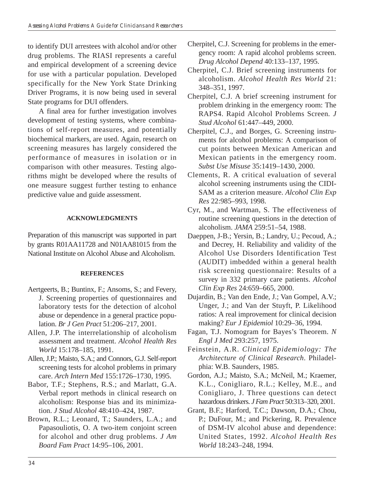to identify DUI arrestees with alcohol and/or other drug problems. The RIASI represents a careful and empirical development of a screening device for use with a particular population. Developed specifically for the New York State Drinking Driver Programs, it is now being used in several State programs for DUI offenders.

A final area for further investigation involves development of testing systems, where combinations of self-report measures, and potentially biochemical markers, are used. Again, research on screening measures has largely considered the performance of measures in isolation or in comparison with other measures. Testing algorithms might be developed where the results of one measure suggest further testing to enhance predictive value and guide assessment.

## **ACKNOWLEDGMENTS**

Preparation of this manuscript was supported in part by grants R01AA11728 and N01AA81015 from the National Institute on Alcohol Abuse and Alcoholism.

## **REFERENCES**

- Aertgeerts, B.; Buntinx, F.; Ansoms, S.; and Fevery, J. Screening properties of questionnaires and laboratory tests for the detection of alcohol abuse or dependence in a general practice population. *Br J Gen Pract* 51:206–217, 2001.
- Allen, J.P. The interrelationship of alcoholism assessment and treatment. *Alcohol Health Res World* 15:178–185, 1991.
- Allen, J.P.; Maisto, S.A.; and Connors, G.J. Self-report screening tests for alcohol problems in primary care. *Arch Intern Med* 155:1726–1730, 1995.
- Babor, T.F.; Stephens, R.S.; and Marlatt, G.A. Verbal report methods in clinical research on alcoholism: Response bias and its minimization. *J Stud Alcohol* 48:410–424, 1987.
- Brown, R.L.; Leonard, T.; Saunders, L.A.; and Papasouliotis, O. A two-item conjoint screen for alcohol and other drug problems. *J Am Board Fam Pract* 14:95–106, 2001.
- Cherpitel, C.J. Screening for problems in the emergency room: A rapid alcohol problems screen. *Drug Alcohol Depend* 40:133–137, 1995.
- Cherpitel, C.J. Brief screening instruments for alcoholism. *Alcohol Health Res World* 21: 348–351, 1997.
- Cherpitel, C.J. A brief screening instrument for problem drinking in the emergency room: The RAPS4. Rapid Alcohol Problems Screen*. J Stud Alcohol* 61:447–449, 2000.
- Cherpitel, C.J., and Borges, G. Screening instruments for alcohol problems: A comparison of cut points between Mexican American and Mexican patients in the emergency room. *Subst Use Misuse* 35:1419–1430, 2000.
- Clements, R. A critical evaluation of several alcohol screening instruments using the CIDI-SAM as a criterion measure. *Alcohol Clin Exp Res* 22:985–993, 1998.
- Cyr, M., and Wartman, S. The effectiveness of routine screening questions in the detection of alcoholism. *JAMA* 259:51–54, 1988.
- Daeppen, J-B.; Yersin, B.; Landry, U.; Pecoud, A.; and Decrey, H. Reliability and validity of the Alcohol Use Disorders Identification Test (AUDIT) imbedded within a general health risk screening questionnaire: Results of a survey in 332 primary care patients. *Alcohol Clin Exp Res* 24:659–665, 2000.
- Dujardin, B.; Van den Ende, J.; Van Gompel, A.V.; Unger, J.; and Van der Stuyft, P. Likelihood ratios: A real improvement for clinical decision making? *Eur J Epidemiol* 10:29–36, 1994.
- Fagan, T.J. Nomogram for Bayes's Theorem. *N Engl J Med* 293:257, 1975.
- Feinstein, A.R. *Clinical Epidemiology: The Architecture of Clinical Research*. Philadelphia: W.B. Saunders, 1985.
- Gordon, A.J.; Maisto, S.A.; McNeil, M.; Kraemer, K.L., Conigliaro, R.L.; Kelley, M.E., and Conigliaro, J. Three questions can detect hazardous drinkers. *J Fam Pract* 50:313–320, 2001.
- Grant, B.F.; Harford, T.C.; Dawson, D.A.; Chou, P.; DuFour, M.; and Pickering, R. Prevalence of DSM-IV alcohol abuse and dependence: United States, 1992. *Alcohol Health Res World* 18:243–248, 1994.